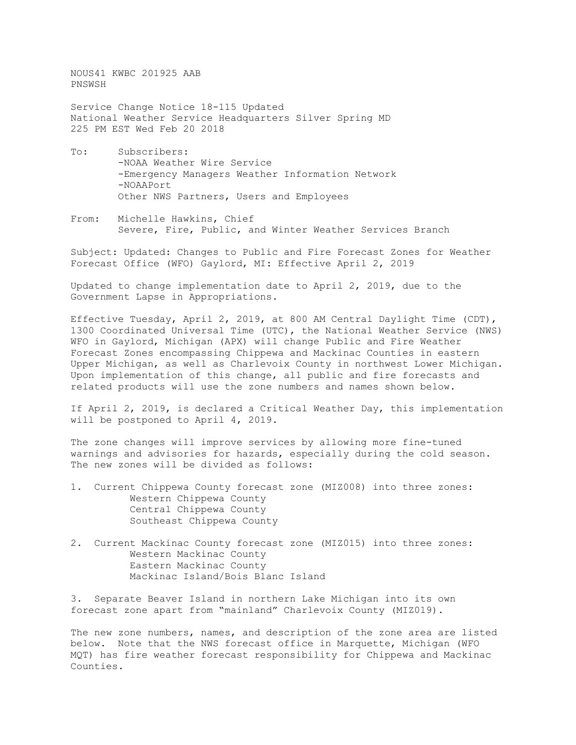NOUS41 KWBC 201925 AAB PNSWSH

Service Change Notice 18-115 Updated National Weather Service Headquarters Silver Spring MD 225 PM EST Wed Feb 20 2018

- To: Subscribers: -NOAA Weather Wire Service -Emergency Managers Weather Information Network -NOAAPort Other NWS Partners, Users and Employees
- From: Michelle Hawkins, Chief Severe, Fire, Public, and Winter Weather Services Branch

Subject: Updated: Changes to Public and Fire Forecast Zones for Weather Forecast Office (WFO) Gaylord, MI: Effective April 2, 2019

Updated to change implementation date to April 2, 2019, due to the Government Lapse in Appropriations.

Effective Tuesday, April 2, 2019, at 800 AM Central Daylight Time (CDT), 1300 Coordinated Universal Time (UTC), the National Weather Service (NWS) WFO in Gaylord, Michigan (APX) will change Public and Fire Weather Forecast Zones encompassing Chippewa and Mackinac Counties in eastern Upper Michigan, as well as Charlevoix County in northwest Lower Michigan. Upon implementation of this change, all public and fire forecasts and related products will use the zone numbers and names shown below.

If April 2, 2019, is declared a Critical Weather Day, this implementation will be postponed to April 4, 2019.

The zone changes will improve services by allowing more fine-tuned warnings and advisories for hazards, especially during the cold season. The new zones will be divided as follows:

- 1. Current Chippewa County forecast zone (MIZ008) into three zones: Western Chippewa County Central Chippewa County Southeast Chippewa County
- 2. Current Mackinac County forecast zone (MIZ015) into three zones: Western Mackinac County Eastern Mackinac County Mackinac Island/Bois Blanc Island

3. Separate Beaver Island in northern Lake Michigan into its own forecast zone apart from "mainland" Charlevoix County (MIZ019).

The new zone numbers, names, and description of the zone area are listed below. Note that the NWS forecast office in Marquette, Michigan (WFO MQT) has fire weather forecast responsibility for Chippewa and Mackinac Counties.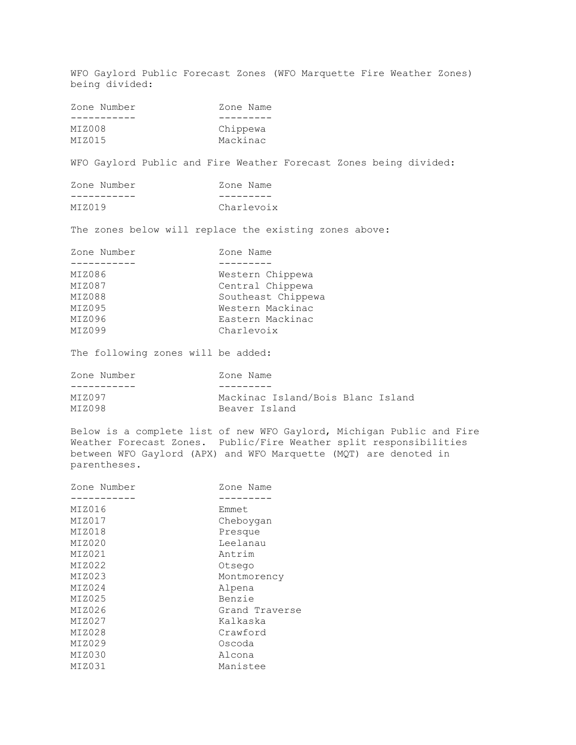WFO Gaylord Public Forecast Zones (WFO Marquette Fire Weather Zones) being divided: Zone Number Zone Name -----------<br>MIZ008 MIZ008 Chippewa<br>MIZ015 Mackinac Mackinac WFO Gaylord Public and Fire Weather Forecast Zones being divided: Zone Number Zone Name -----------<br>MIZ019 Charlevoix The zones below will replace the existing zones above: Zone Number Zone Name ------------<br>MIZ086 MIZ086 Western Chippewa<br>MIZ087 Central Chippewa MIZ087 Central Chippewa<br>MIZ088 Coutheast Chipper MIZ088 Southeast Chippewa<br>MIZ095 Western Mackinac MIZ095 Western Mackinac MIZ096 Eastern Mackinac<br>MIZ099 Charlevoix Charlevoix The following zones will be added: Zone Number Zone Name ------------<br>MIZ097 MIZ097 Mackinac Island/Bois Blanc Island<br>MIZ098 Beaver Island Beaver Island Below is a complete list of new WFO Gaylord, Michigan Public and Fire Weather Forecast Zones. Public/Fire Weather split responsibilities between WFO Gaylord (APX) and WFO Marquette (MQT) are denoted in parentheses. Zone Number Zone Name ----------- --------- MIZ016<br>MIZ017 MIZ017 Cheboygan<br>MIZ018 Presque MIZ018 Presque<br>
MIZ020 Leelana MIZ020 Leelanau<br>MIZ021 MIZ021 Antrim MIZ021 Antrim<br>MIZ022 Otsego MIZ022 Otsego MIZ023 Montmorency<br>MIZ024 MIZ024 Alpena MIZ024 Alpena MIZ025 Benzie MIZ026 Grand Traverse<br>MIZ027 Kalkaska MIZ027 Kalkaska<br>MIZ028 Crawford MIZ028 Crawford<br>MIZ029 Cscoda MIZ029 Oscoda MIZ030 Alcona<br>MIZ031 Maniste

Manistee